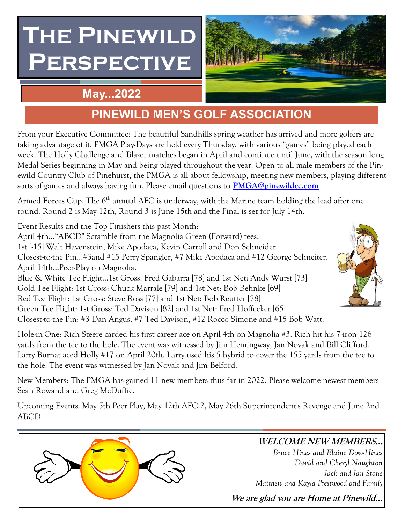# **The Pinewild Perspective**

## **May...2022**

# **PINEWILD MEN'S GOLF ASSOCIATION**

From your Executive Committee: The beautiful Sandhills spring weather has arrived and more golfers are taking advantage of it. PMGA Play-Days are held every Thursday, with various "games" being played each week. The Holly Challenge and Blazer matches began in April and continue until June, with the season long Medal Series beginning in May and being played throughout the year. Open to all male members of the Pinewild Country Club of Pinehurst, the PMGA is all about fellowship, meeting new members, playing different sorts of games and always having fun. Please email questions to **[PMGA@pinewildcc.com](mailto:PMGA@pinewildcc.com)**

Armed Forces Cup: The 6<sup>th</sup> annual AFC is underway, with the Marine team holding the lead after one round. Round 2 is May 12th, Round 3 is June 15th and the Final is set for July 14th.

Event Results and the Top Finishers this past Month: April 4th..."ABCD" Scramble from the Magnolia Green (Forward) tees. 1st [-15] Walt Havenstein, Mike Apodaca, Kevin Carroll and Don Schneider. Closest-to-the Pin...#3and #15 Perry Spangler, #7 Mike Apodaca and #12 George Schneiter. April 14th...Peer-Play on Magnolia. Blue & White Tee Flight...1st Gross: Fred Gabarra [78] and 1st Net: Andy Wurst [73] Gold Tee Flight: 1st Gross: Chuck Marrale [79] and 1st Net: Bob Behnke [69] Red Tee Flight: 1st Gross: Steve Ross [77] and 1st Net: Bob Reutter [78] Green Tee Flight: 1st Gross: Ted Davison [82] and 1st Net: Fred Hoffecker [65] Closest-to-the Pin: #3 Dan Angus, #7 Ted Davison, #12 Rocco Simone and #15 Bob Watt.

Hole-in-One: Rich Steere carded his first career ace on April 4th on Magnolia #3. Rich hit his 7-iron 126 yards from the tee to the hole. The event was witnessed by Jim Hemingway, Jan Novak and Bill Clifford. Larry Burnat aced Holly #17 on April 20th. Larry used his 5 hybrid to cover the 155 yards from the tee to the hole. The event was witnessed by Jan Novak and Jim Belford.

New Members: The PMGA has gained 11 new members thus far in 2022. Please welcome newest members Sean Rowand and Greg McDuffie.

Upcoming Events: May 5th Peer Play, May 12th AFC 2, May 26th Superintendent's Revenge and June 2nd ABCD.



*Matthew and Kayla Prestwood and Family*

**We are glad you are Home at Pinewild...**





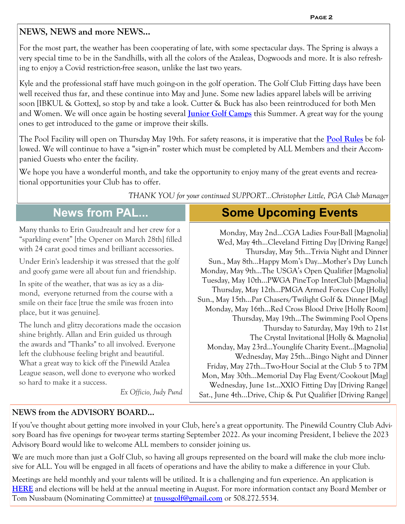#### **NEWS, NEWS and more NEWS…**

For the most part, the weather has been cooperating of late, with some spectacular days. The Spring is always a very special time to be in the Sandhills, with all the colors of the Azaleas, Dogwoods and more. It is also refreshing to enjoy a Covid restriction-free season, unlike the last two years.

Kyle and the professional staff have much going-on in the golf operation. The Golf Club Fitting days have been well received thus far, and these continue into May and June. Some new ladies apparel labels will be arriving soon [IBKUL & Gottex], so stop by and take a look. Cutter & Buck has also been reintroduced for both Men and Women. We will once again be hosting several **[Junior Golf Camps](https://www.pinewildcc.com/junior-camp/)** this Summer. A great way for the young ones to get introduced to the game or improve their skills.

The Pool Facility will open on Thursday May 19th. For safety reasons, it is imperative that the **[Pool Rules](https://www.pinewildcc.com/wp-content/uploads/2022/04/POOLRULES2022.pdf)** be followed. We will continue to have a "sign-in" roster which must be completed by ALL Members and their Accompanied Guests who enter the facility.

We hope you have a wonderful month, and take the opportunity to enjoy many of the great events and recreational opportunities your Club has to offer.

*THANK YOU for your continued SUPPORT…Christopher Little, PGA Club Manager*

## **News from PAL...**

Many thanks to Erin Gaudreault and her crew for a "sparkling event" [the Opener on March 28th] filled with 24 carat good times and brilliant accessories.

Under Erin's leadership it was stressed that the golf and goofy game were all about fun and friendship.

In spite of the weather, that was as icy as a diamond, everyone returned from the course with a smile on their face [true the smile was frozen into place, but it was genuine].

The lunch and glitzy decorations made the occasion shine brightly. Allan and Erin guided us through the awards and "Thanks" to all involved. Everyone left the clubhouse feeling bright and beautiful. What a great way to kick off the Pinewild Azalea League season, well done to everyone who worked so hard to make it a success.

*Ex Officio, Judy Pund*

## **Some Upcoming Events**

Monday, May 2nd...CGA Ladies Four-Ball [Magnolia] Wed, May 4th...Cleveland Fitting Day [Driving Range] Thursday, May 5th...Trivia Night and Dinner Sun., May 8th...Happy Mom's Day...Mother's Day Lunch Monday, May 9th...The USGA's Open Qualifier [Magnolia] Tuesday, May 10th...PWGA PineTop InterClub [Magnolia] Thursday, May 12th...PMGA Armed Forces Cup [Holly] Sun., May 15th...Par Chasers/Twilight Golf & Dinner [Mag] Monday, May 16th...Red Cross Blood Drive [Holly Room] Thursday, May 19th...The Swimming Pool Opens Thursday to Saturday, May 19th to 21st The Crystal Invitational [Holly & Magnolia] Monday, May 23rd...Younglife Charity Event…[Magnolia] Wednesday, May 25th...Bingo Night and Dinner Friday, May 27th...Two-Hour Social at the Club 5 to 7PM Mon, May 30th...Memorial Day Flag Event/Cookout [Mag] Wednesday, June 1st...XXIO Fitting Day [Driving Range] Sat., June 4th...Drive, Chip & Put Qualifier [Driving Range]

#### **NEWS from the ADVISORY BOARD…**

If you've thought about getting more involved in your Club, here's a great opportunity. The Pinewild Country Club Advisory Board has five openings for two-year terms starting September 2022. As your incoming President, I believe the 2023 Advisory Board would like to welcome ALL members to consider joining us.

We are much more than just a Golf Club, so having all groups represented on the board will make the club more inclusive for ALL. You will be engaged in all facets of operations and have the ability to make a difference in your Club.

Meetings are held monthly and your talents will be utilized. It is a challenging and fun experience. An application is **[HERE](http://www.pinewildcc.com/wp-content/uploads/2022/04/NominationinfRequestAB2023.pdf)** and elections will be held at the annual meeting in August. For more information contact any Board Member or Tom Nussbaum (Nominating Committee) at **[tnussgolf@gmail.com](mailto:tnussgolf@gmail.com)** or 508.272.5534.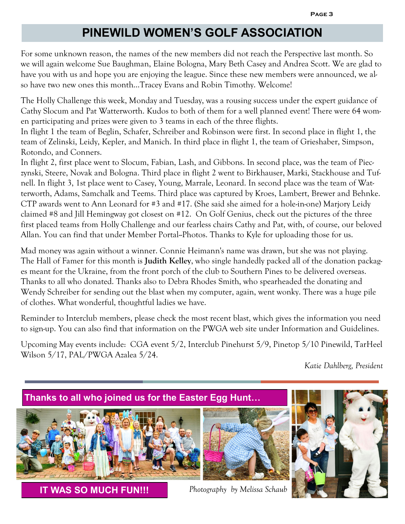## **PINEWILD WOMEN'S GOLF ASSOCIATION**

For some unknown reason, the names of the new members did not reach the Perspective last month. So we will again welcome Sue Baughman, Elaine Bologna, Mary Beth Casey and Andrea Scott. We are glad to have you with us and hope you are enjoying the league. Since these new members were announced, we also have two new ones this month...Tracey Evans and Robin Timothy. Welcome!

The Holly Challenge this week, Monday and Tuesday, was a rousing success under the expert guidance of Cathy Slocum and Pat Watterworth. Kudos to both of them for a well planned event! There were 64 women participating and prizes were given to 3 teams in each of the three flights.

In flight 1 the team of Beglin, Schafer, Schreiber and Robinson were first. In second place in flight 1, the team of Zelinski, Leidy, Kepler, and Manich. In third place in flight 1, the team of Grieshaber, Simpson, Rotondo, and Conners.

In flight 2, first place went to Slocum, Fabian, Lash, and Gibbons. In second place, was the team of Pieczynski, Steere, Novak and Bologna. Third place in flight 2 went to Birkhauser, Marki, Stackhouse and Tufnell. In flight 3, 1st place went to Casey, Young, Marrale, Leonard. In second place was the team of Watterworth, Adams, Samchalk and Teems. Third place was captured by Kroes, Lambert, Brewer and Behnke. CTP awards went to Ann Leonard for #3 and #17. (She said she aimed for a hole-in-one) Marjory Leidy claimed #8 and Jill Hemingway got closest on #12. On Golf Genius, check out the pictures of the three first placed teams from Holly Challenge and our fearless chairs Cathy and Pat, with, of course, our beloved Allan. You can find that under Member Portal--Photos. Thanks to Kyle for uploading those for us.

Mad money was again without a winner. Connie Heimann's name was drawn, but she was not playing. The Hall of Famer for this month is **Judith Kelley**, who single handedly packed all of the donation packages meant for the Ukraine, from the front porch of the club to Southern Pines to be delivered overseas. Thanks to all who donated. Thanks also to Debra Rhodes Smith, who spearheaded the donating and Wendy Schreiber for sending out the blast when my computer, again, went wonky. There was a huge pile of clothes. What wonderful, thoughtful ladies we have.

Reminder to Interclub members, please check the most recent blast, which gives the information you need to sign-up. You can also find that information on the PWGA web site under Information and Guidelines.

Upcoming May events include: CGA event 5/2, Interclub Pinehurst 5/9, Pinetop 5/10 Pinewild, TarHeel Wilson 5/17, PAL/PWGA Azalea 5/24.

*Katie Dahlberg, President*